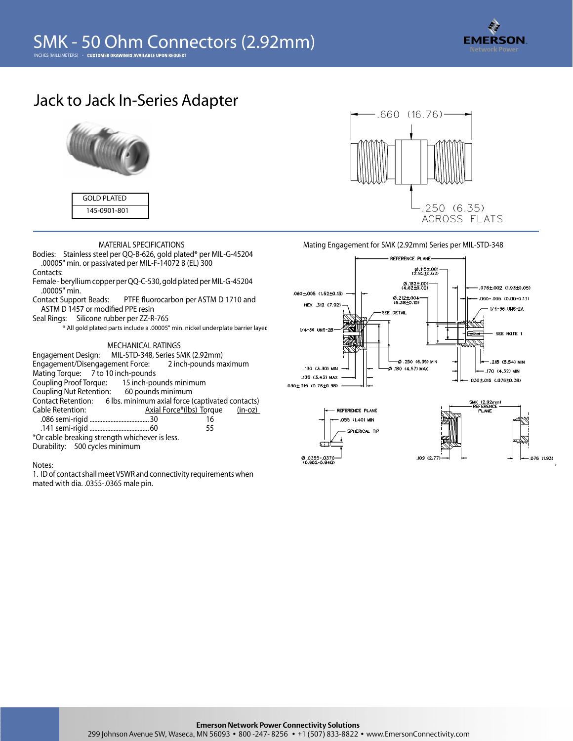

# **Jack to Jack In-Series Adapter**



**GOLD PLATED** 145-0901-801

**MATERIAL SPECIFICATIONS**

- **Bodies:** Stainless steel per QQ-B-626, gold plated\* per MIL-G-45204 .00005" min. or passivated per MIL-F-14072 B (EL) 300
- **Contacts:**
- Female beryllium copper per QQ-C-530, gold plated per MIL-G-45204 .00005" min.
- Contact Support Beads: PTFE fluorocarbon per ASTM D 1710 and ASTM D 1457 or modified PPE resin
- **Seal Rings:** Silicone rubber per ZZ-R-765
	- \* All gold plated parts include a .00005" min. nickel underplate barrier layer.

### **MECHANICAL RATINGS**

| Engagement Design: MIL-STD-348, Series SMK (2.92mm)                 |  |                                  |  |
|---------------------------------------------------------------------|--|----------------------------------|--|
| Engagement/Disengagement Force: 2 inch-pounds maximum               |  |                                  |  |
| Mating Torque: 7 to 10 inch-pounds                                  |  |                                  |  |
| Coupling Proof Torque: 15 inch-pounds minimum                       |  |                                  |  |
| Coupling Nut Retention: 60 pounds minimum                           |  |                                  |  |
| Contact Retention: 6 lbs. minimum axial force (captivated contacts) |  |                                  |  |
| Cable Retention:                                                    |  | Axial Force*(lbs) Torque (in-oz) |  |
|                                                                     |  | 16                               |  |
|                                                                     |  | 55                               |  |
| *Or cable breaking strength whichever is less.                      |  |                                  |  |
| Durability: 500 cycles minimum                                      |  |                                  |  |

#### Notes:

1. ID of contact shall meet VSWR and connectivity requirements when mated with dia. .0355-.0365 male pin.



# **Mating Engagement for SMK (2.92mm) Series per MIL-STD-348**